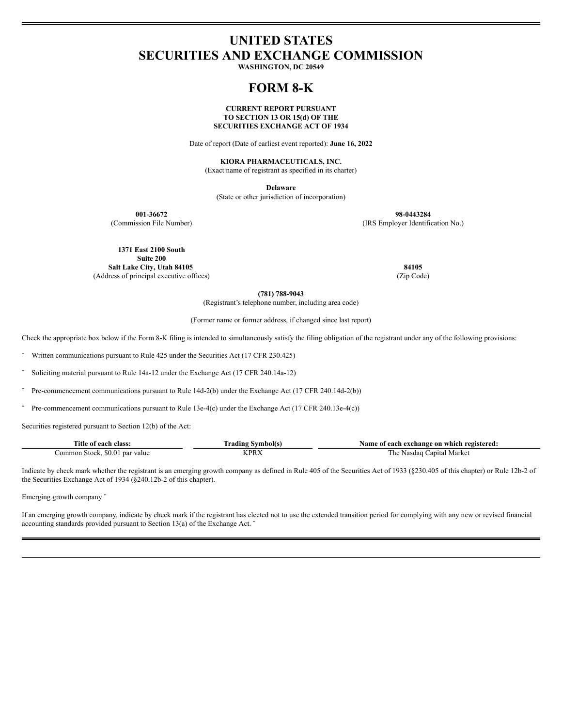# **UNITED STATES SECURITIES AND EXCHANGE COMMISSION**

**WASHINGTON, DC 20549**

## **FORM 8-K**

#### **CURRENT REPORT PURSUANT TO SECTION 13 OR 15(d) OF THE SECURITIES EXCHANGE ACT OF 1934**

Date of report (Date of earliest event reported): **June 16, 2022**

#### **KIORA PHARMACEUTICALS, INC.**

(Exact name of registrant as specified in its charter)

**Delaware**

(State or other jurisdiction of incorporation)

**001-36672 98-0443284** (Commission File Number) (IRS Employer Identification No.)

**1371 East 2100 South Suite 200 Salt Lake City, Utah 84105 84105**

(Address of principal executive offices) (Zip Code)

**(781) 788-9043**

(Registrant's telephone number, including area code)

(Former name or former address, if changed since last report)

Check the appropriate box below if the Form 8-K filing is intended to simultaneously satisfy the filing obligation of the registrant under any of the following provisions:

Written communications pursuant to Rule 425 under the Securities Act (17 CFR 230.425)

Soliciting material pursuant to Rule 14a-12 under the Exchange Act (17 CFR 240.14a-12)

Pre-commencement communications pursuant to Rule 14d-2(b) under the Exchange Act (17 CFR 240.14d-2(b))

Pre-commencement communications pursuant to Rule 13e-4(c) under the Exchange Act (17 CFR 240.13e-4(c))

Securities registered pursuant to Section 12(b) of the Act:

| <b>Title</b><br>class:<br>∙ot each           | --<br>Symbol(s<br>rading | f each exchange on which registered:<br>Name of |
|----------------------------------------------|--------------------------|-------------------------------------------------|
| Stock.<br><b>SO.O.</b><br>par value<br>ommon | IZ DD A<br>$\mathcal{L}$ | Market<br>apital<br>l he<br>Nasdag              |

Indicate by check mark whether the registrant is an emerging growth company as defined in Rule 405 of the Securities Act of 1933 (§230.405 of this chapter) or Rule 12b-2 of the Securities Exchange Act of 1934 (§240.12b-2 of this chapter).

Emerging growth company ¨

If an emerging growth company, indicate by check mark if the registrant has elected not to use the extended transition period for complying with any new or revised financial accounting standards provided pursuant to Section 13(a) of the Exchange Act. ¨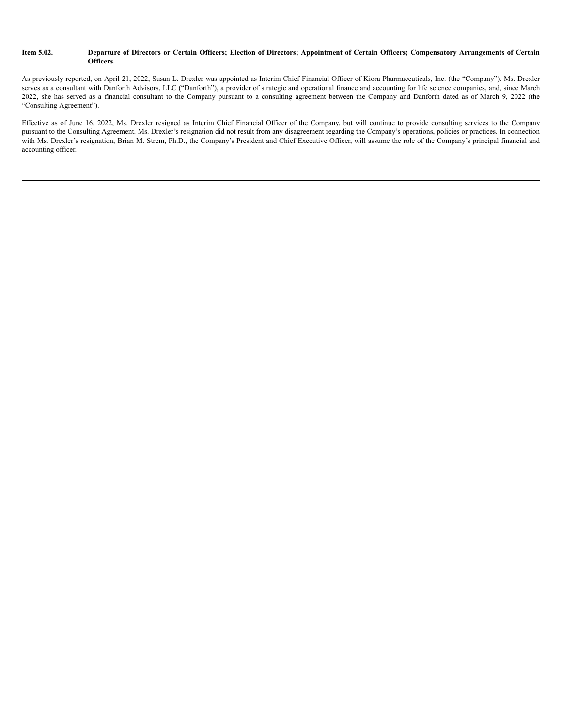#### Item 5.02. Departure of Directors or Certain Officers; Election of Directors; Appointment of Certain Officers; Compensatory Arrangements of Certain **Officers.**

As previously reported, on April 21, 2022, Susan L. Drexler was appointed as Interim Chief Financial Officer of Kiora Pharmaceuticals, Inc. (the "Company"). Ms. Drexler serves as a consultant with Danforth Advisors, LLC ("Danforth"), a provider of strategic and operational finance and accounting for life science companies, and, since March 2022, she has served as a financial consultant to the Company pursuant to a consulting agreement between the Company and Danforth dated as of March 9, 2022 (the "Consulting Agreement").

Effective as of June 16, 2022, Ms. Drexler resigned as Interim Chief Financial Officer of the Company, but will continue to provide consulting services to the Company pursuant to the Consulting Agreement. Ms. Drexler's resignation did not result from any disagreement regarding the Company's operations, policies or practices. In connection with Ms. Drexler's resignation, Brian M. Strem, Ph.D., the Company's President and Chief Executive Officer, will assume the role of the Company's principal financial and accounting officer.